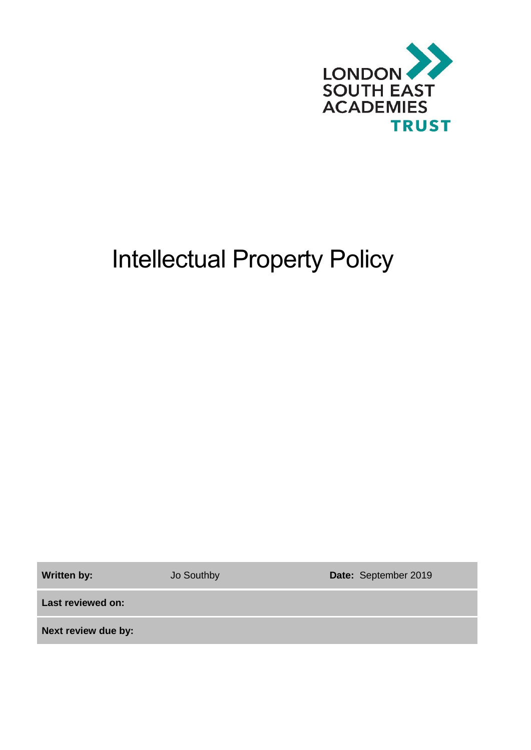

# Intellectual Property Policy

**Written by:** Jo Southby **Date:** September 2019

**Last reviewed on:**

**Next review due by:**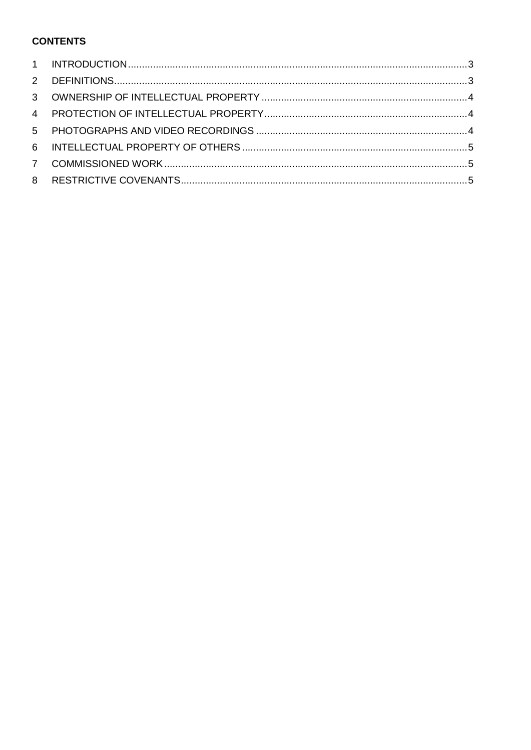### **CONTENTS**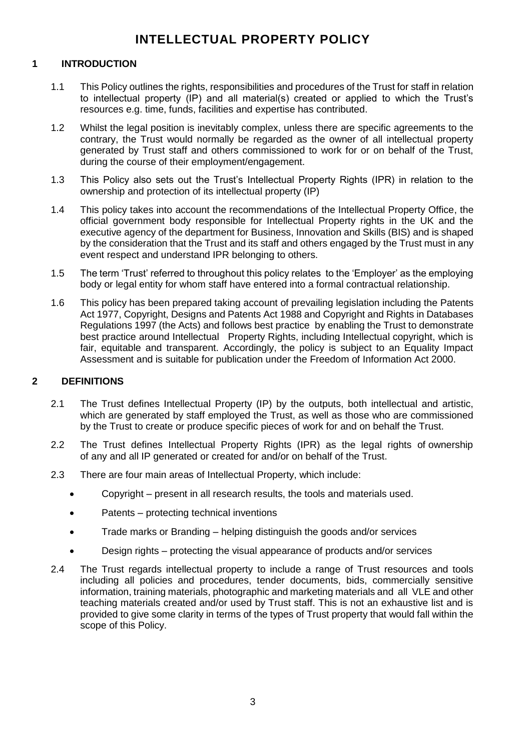## **INTELLECTUAL PROPERTY POLICY**

#### <span id="page-2-0"></span>**1 INTRODUCTION**

- 1.1 This Policy outlines the rights, responsibilities and procedures of the Trust for staff in relation to intellectual property (IP) and all material(s) created or applied to which the Trust's resources e.g. time, funds, facilities and expertise has contributed.
- 1.2 Whilst the legal position is inevitably complex, unless there are specific agreements to the contrary, the Trust would normally be regarded as the owner of all intellectual property generated by Trust staff and others commissioned to work for or on behalf of the Trust, during the course of their employment/engagement.
- 1.3 This Policy also sets out the Trust's Intellectual Property Rights (IPR) in relation to the ownership and protection of its intellectual property (IP)
- 1.4 This policy takes into account the recommendations of the Intellectual Property Office, the official government body responsible for Intellectual Property rights in the UK and the executive agency of the department for Business, Innovation and Skills (BIS) and is shaped by the consideration that the Trust and its staff and others engaged by the Trust must in any event respect and understand IPR belonging to others.
- 1.5 The term 'Trust' referred to throughout this policy relates to the 'Employer' as the employing body or legal entity for whom staff have entered into a formal contractual relationship.
- 1.6 This policy has been prepared taking account of prevailing legislation including the Patents Act 1977, Copyright, Designs and Patents Act 1988 and Copyright and Rights in Databases Regulations 1997 (the Acts) and follows best practice by enabling the Trust to demonstrate best practice around Intellectual Property Rights, including Intellectual copyright, which is fair, equitable and transparent. Accordingly, the policy is subject to an Equality Impact Assessment and is suitable for publication under the Freedom of Information Act 2000.

#### <span id="page-2-1"></span>**2 DEFINITIONS**

- 2.1 The Trust defines Intellectual Property (IP) by the outputs, both intellectual and artistic, which are generated by staff employed the Trust, as well as those who are commissioned by the Trust to create or produce specific pieces of work for and on behalf the Trust.
- 2.2 The Trust defines Intellectual Property Rights (IPR) as the legal rights of ownership of any and all IP generated or created for and/or on behalf of the Trust.
- 2.3 There are four main areas of Intellectual Property, which include:
	- Copyright present in all research results, the tools and materials used.
	- Patents protecting technical inventions
	- Trade marks or Branding helping distinguish the goods and/or services
	- Design rights protecting the visual appearance of products and/or services
- 2.4 The Trust regards intellectual property to include a range of Trust resources and tools including all policies and procedures, tender documents, bids, commercially sensitive information, training materials, photographic and marketing materials and all VLE and other teaching materials created and/or used by Trust staff. This is not an exhaustive list and is provided to give some clarity in terms of the types of Trust property that would fall within the scope of this Policy.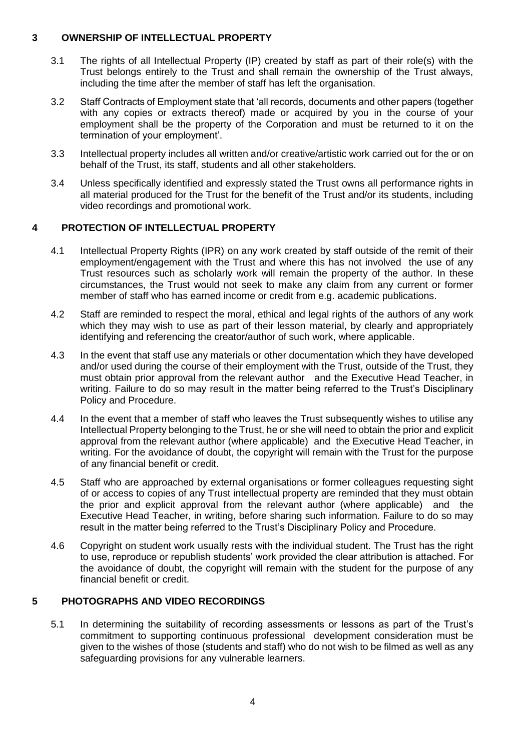#### <span id="page-3-0"></span>**3 OWNERSHIP OF INTELLECTUAL PROPERTY**

- 3.1 The rights of all Intellectual Property (IP) created by staff as part of their role(s) with the Trust belongs entirely to the Trust and shall remain the ownership of the Trust always, including the time after the member of staff has left the organisation.
- 3.2 Staff Contracts of Employment state that 'all records, documents and other papers (together with any copies or extracts thereof) made or acquired by you in the course of your employment shall be the property of the Corporation and must be returned to it on the termination of your employment'.
- 3.3 Intellectual property includes all written and/or creative/artistic work carried out for the or on behalf of the Trust, its staff, students and all other stakeholders.
- 3.4 Unless specifically identified and expressly stated the Trust owns all performance rights in all material produced for the Trust for the benefit of the Trust and/or its students, including video recordings and promotional work.

#### <span id="page-3-1"></span>**4 PROTECTION OF INTELLECTUAL PROPERTY**

- 4.1 Intellectual Property Rights (IPR) on any work created by staff outside of the remit of their employment/engagement with the Trust and where this has not involved the use of any Trust resources such as scholarly work will remain the property of the author. In these circumstances, the Trust would not seek to make any claim from any current or former member of staff who has earned income or credit from e.g. academic publications.
- 4.2 Staff are reminded to respect the moral, ethical and legal rights of the authors of any work which they may wish to use as part of their lesson material, by clearly and appropriately identifying and referencing the creator/author of such work, where applicable.
- 4.3 In the event that staff use any materials or other documentation which they have developed and/or used during the course of their employment with the Trust, outside of the Trust, they must obtain prior approval from the relevant author and the Executive Head Teacher, in writing. Failure to do so may result in the matter being referred to the Trust's Disciplinary Policy and Procedure.
- 4.4 In the event that a member of staff who leaves the Trust subsequently wishes to utilise any Intellectual Property belonging to the Trust, he or she will need to obtain the prior and explicit approval from the relevant author (where applicable) and the Executive Head Teacher, in writing. For the avoidance of doubt, the copyright will remain with the Trust for the purpose of any financial benefit or credit.
- 4.5 Staff who are approached by external organisations or former colleagues requesting sight of or access to copies of any Trust intellectual property are reminded that they must obtain the prior and explicit approval from the relevant author (where applicable) and the Executive Head Teacher, in writing, before sharing such information. Failure to do so may result in the matter being referred to the Trust's Disciplinary Policy and Procedure.
- 4.6 Copyright on student work usually rests with the individual student. The Trust has the right to use, reproduce or republish students' work provided the clear attribution is attached. For the avoidance of doubt, the copyright will remain with the student for the purpose of any financial benefit or credit.

#### <span id="page-3-2"></span>**5 PHOTOGRAPHS AND VIDEO RECORDINGS**

5.1 In determining the suitability of recording assessments or lessons as part of the Trust's commitment to supporting continuous professional development consideration must be given to the wishes of those (students and staff) who do not wish to be filmed as well as any safeguarding provisions for any vulnerable learners.